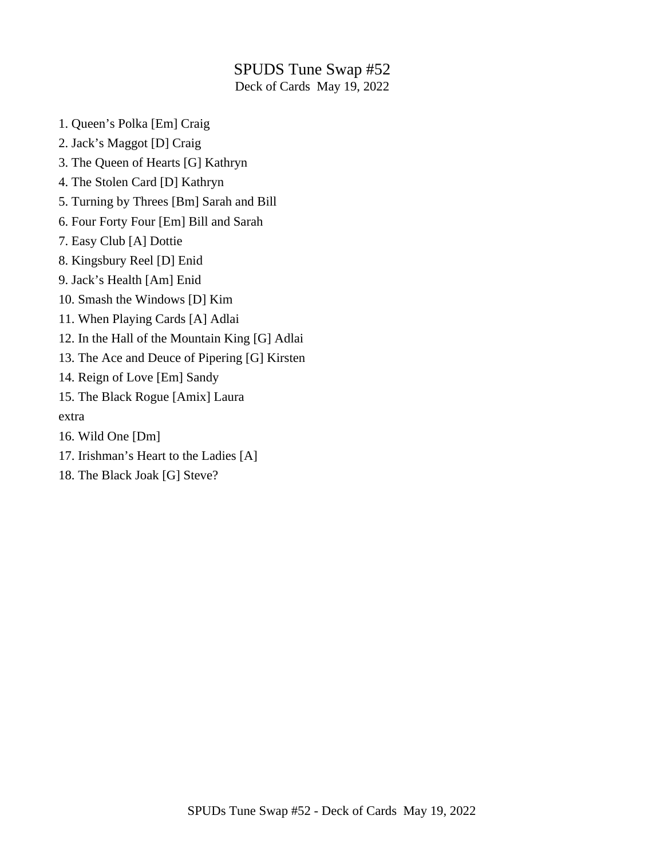### SPUDS Tune Swap #52 Deck of Cards May 19, 2022

1. Queen's Polka [Em] Craig

- 2. Jack's Maggot [D] Craig
- 3. The Queen of Hearts [G] Kathryn
- 4. The Stolen Card [D] Kathryn
- 5. Turning by Threes [Bm] Sarah and Bill
- 6. Four Forty Four [Em] Bill and Sarah
- 7. Easy Club [A] Dottie
- 8. Kingsbury Reel [D] Enid
- 9. Jack's Health [Am] Enid
- 10. Smash the Windows [D] Kim
- 11. When Playing Cards [A] Adlai
- 12. In the Hall of the Mountain King [G] Adlai
- 13. The Ace and Deuce of Pipering [G] Kirsten
- 14. Reign of Love [Em] Sandy
- 15. The Black Rogue [Amix] Laura
- extra
- 16. Wild One [Dm]
- 17. Irishman's Heart to the Ladies [A]
- 18. The Black Joak [G] Steve?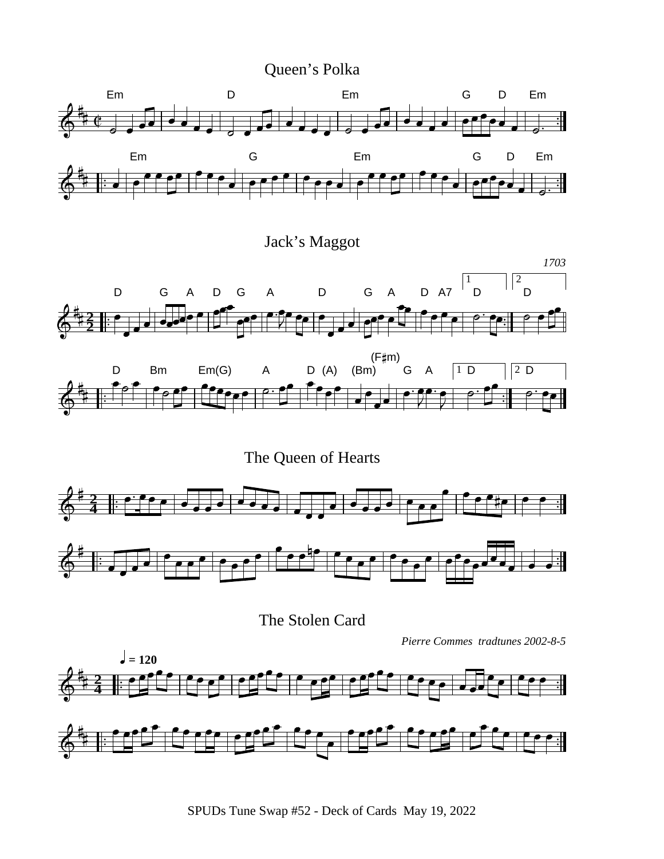Queen's Polka



Jack's Maggot





The Queen of Hearts



The Stolen Card

*Pierre Commes tradtunes 2002-8-5*

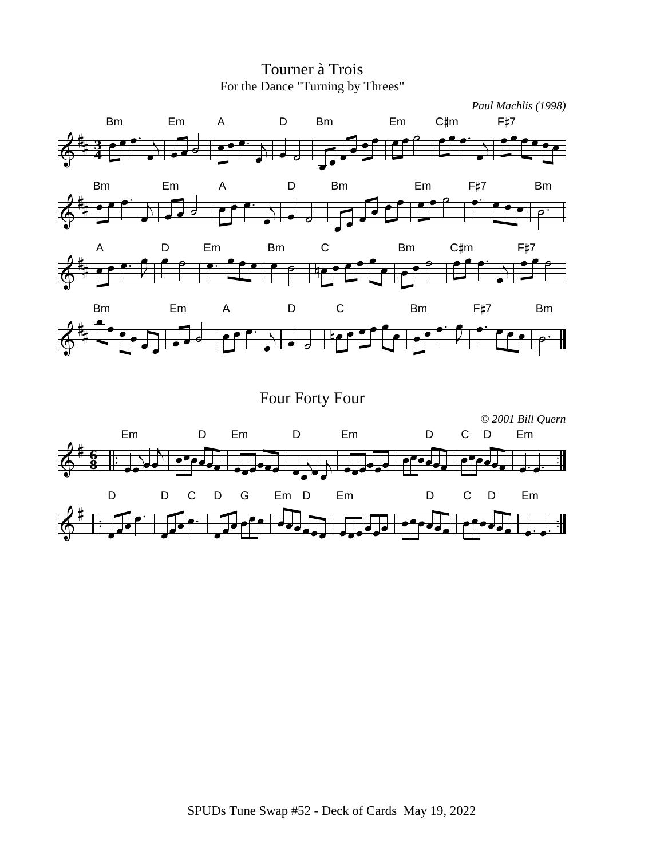

Em D Em D Em D C D Em

D D C D G Em D Em D C D Em

**8 6** *© 2001 Bill Quern*

# Tourner à Trois For the Dance "Turning by Threes"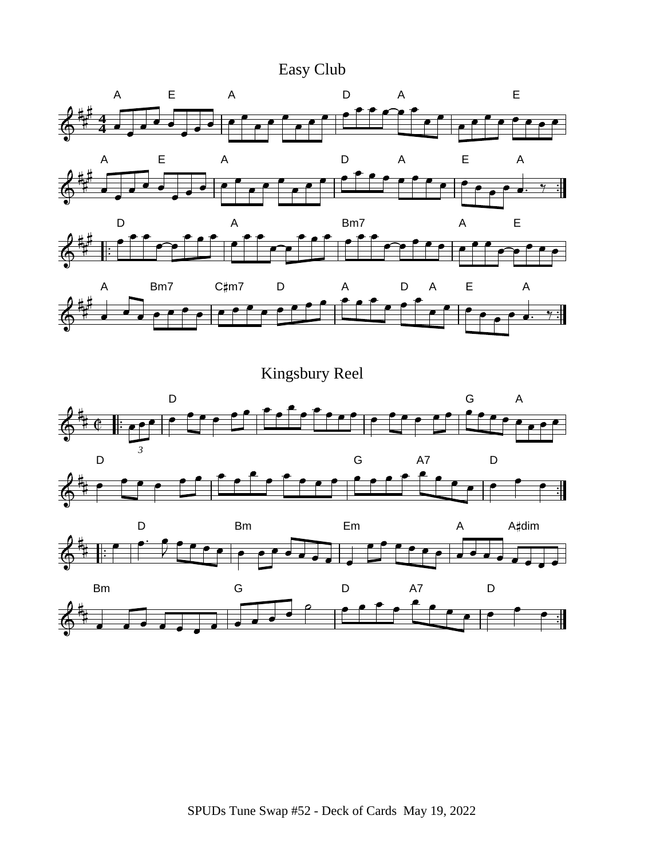



Kingsbury Reel

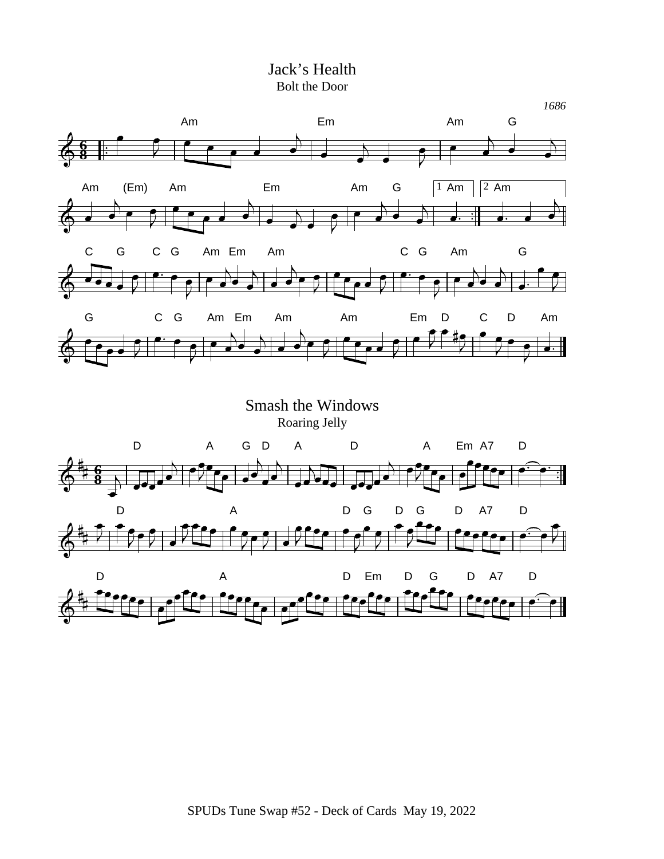#### Jack's Health Bolt the Door

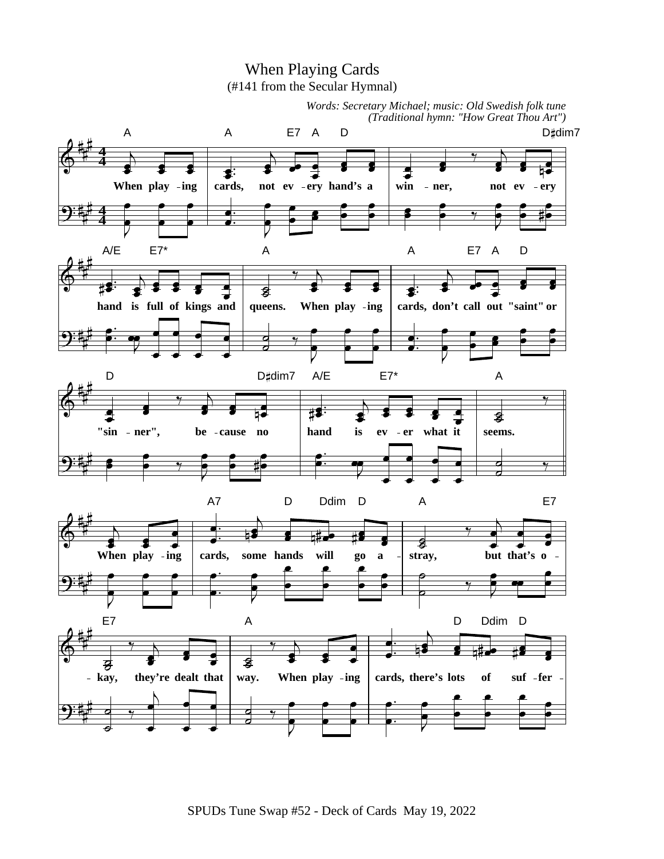

SPUDs Tune Swap #52 - Deck of Cards May 19, 2022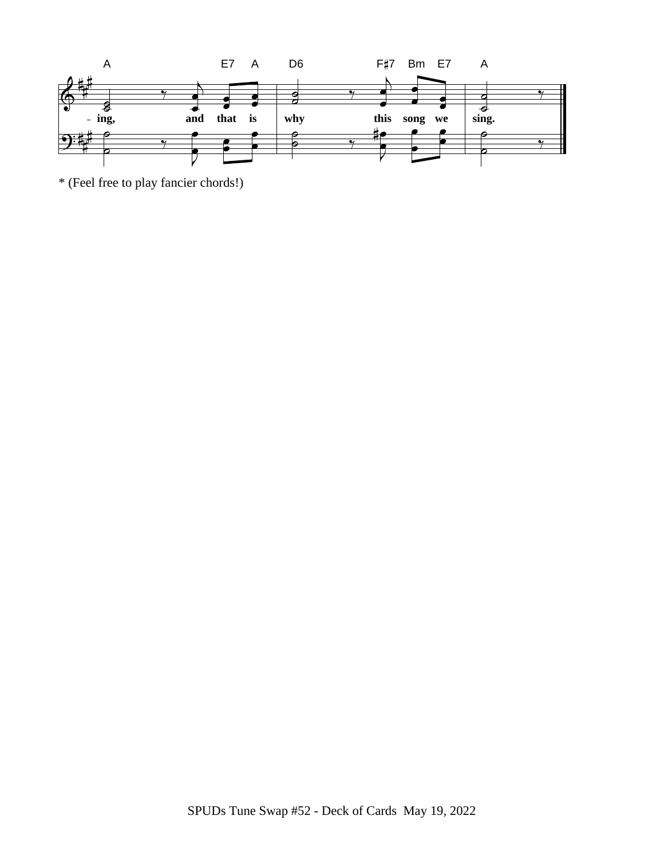

\* (Feel free to play fancier chords!)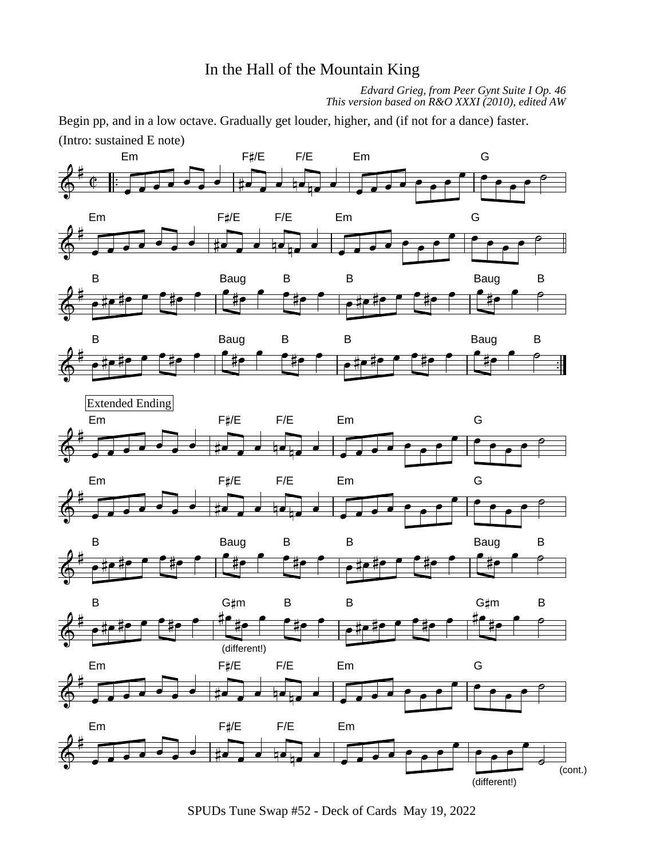# In the Hall of the Mountain King

*Edvard Grieg, from Peer Gynt Suite I Op. 46 This version based on R&O XXXI (2010), edited AW*

Begin pp, and in a low octave. Gradually get louder, higher, and (if not for a dance) faster. (Intro: sustained E note)



SPUDs Tune Swap #52 - Deck of Cards May 19, 2022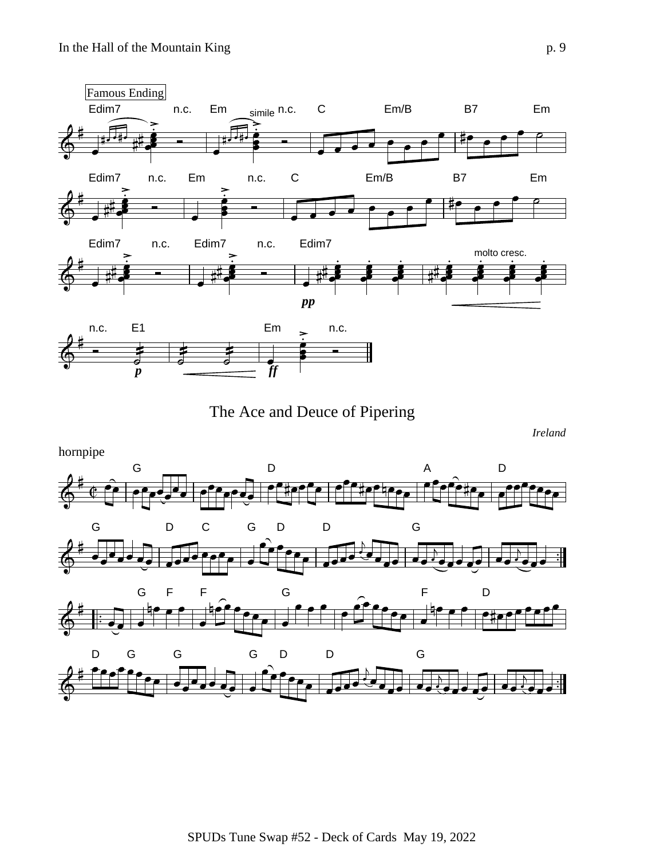

The Ace and Deuce of Pipering

*Ireland*

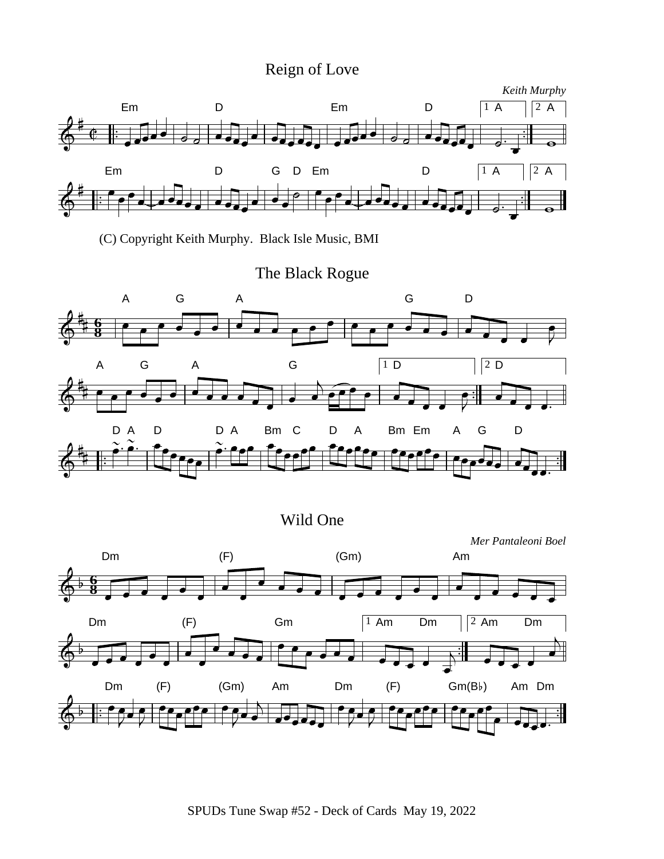# Reign of Love



(C) Copyright Keith Murphy. Black Isle Music, BMI

### The Black Rogue



Wild One



SPUDs Tune Swap #52 - Deck of Cards May 19, 2022